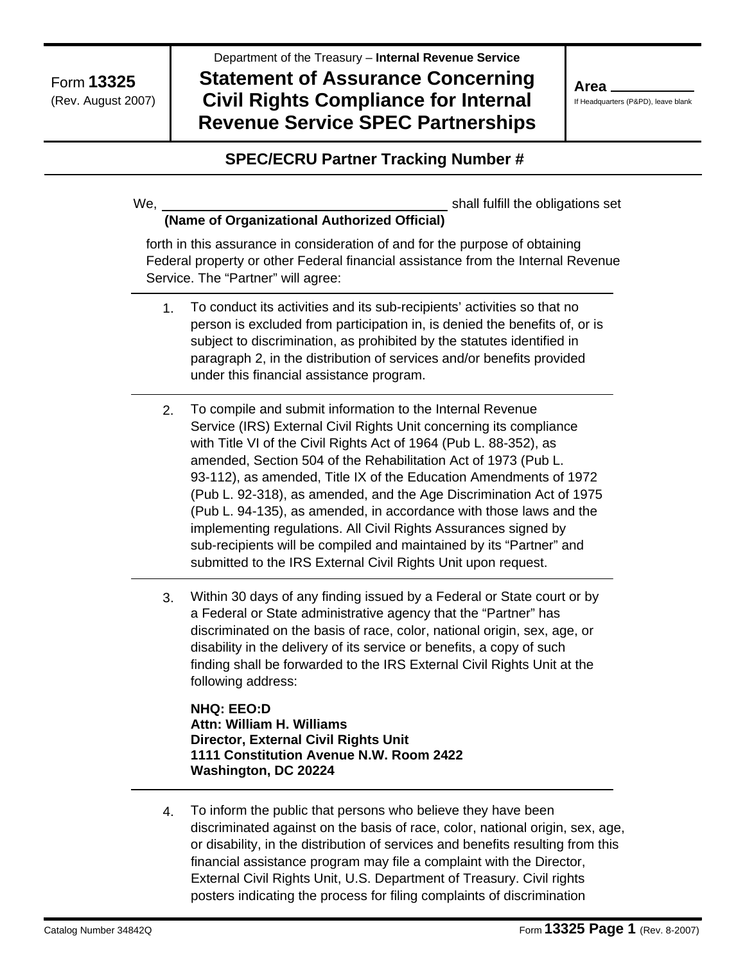Department of the Treasury – **Internal Revenue Service** 

# **Statement of Assurance Concerning Civil Rights Compliance for Internal Revenue Service SPEC Partnerships**

**Area** 

If Headquarters (P&PD), leave blank

## **SPEC/ECRU Partner Tracking Number #**

We,

shall fulfill the obligations set

#### **(Name of Organizational Authorized Official)**

forth in this assurance in consideration of and for the purpose of obtaining Federal property or other Federal financial assistance from the Internal Revenue Service. The "Partner" will agree:

- 1. To conduct its activities and its sub-recipients' activities so that no person is excluded from participation in, is denied the benefits of, or is subject to discrimination, as prohibited by the statutes identified in paragraph 2, in the distribution of services and/or benefits provided under this financial assistance program.
- 2. To compile and submit information to the Internal Revenue Service (IRS) External Civil Rights Unit concerning its compliance with Title VI of the Civil Rights Act of 1964 (Pub L. 88-352), as amended, Section 504 of the Rehabilitation Act of 1973 (Pub L. 93-112), as amended, Title IX of the Education Amendments of 1972 (Pub L. 92-318), as amended, and the Age Discrimination Act of 1975 (Pub L. 94-135), as amended, in accordance with those laws and the implementing regulations. All Civil Rights Assurances signed by sub-recipients will be compiled and maintained by its "Partner" and submitted to the IRS External Civil Rights Unit upon request.
- 3. Within 30 days of any finding issued by a Federal or State court or by a Federal or State administrative agency that the "Partner" has discriminated on the basis of race, color, national origin, sex, age, or disability in the delivery of its service or benefits, a copy of such finding shall be forwarded to the IRS External Civil Rights Unit at the following address:

**NHQ: EEO:D Attn: William H. Williams Director, External Civil Rights Unit 1111 Constitution Avenue N.W. Room 2422 Washington, DC 20224** 

4. To inform the public that persons who believe they have been discriminated against on the basis of race, color, national origin, sex, age, or disability, in the distribution of services and benefits resulting from this financial assistance program may file a complaint with the Director, External Civil Rights Unit, U.S. Department of Treasury. Civil rights posters indicating the process for filing complaints of discrimination